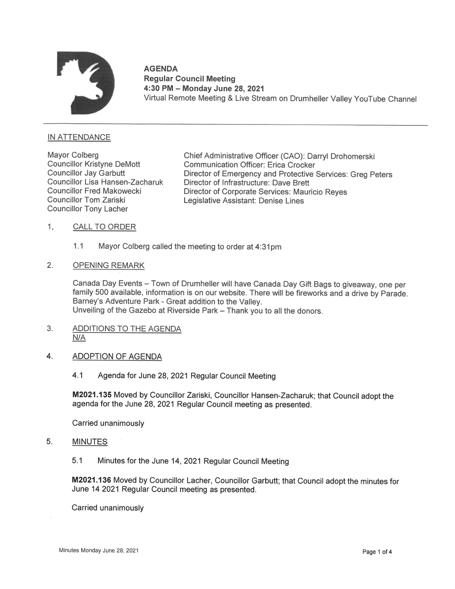

# AGENDA Regular Council Meeting . 4:30 PM— Monday June 28, 2021 Virtual Remote Meeting & Live Stream on Drumheller Valley YouTube Channel

## IN ATTENDANCE

Councillor Tony Lacher

Mayor Colberg Chief Administrative Officer (CAO): Darryl Drohomerski<br>Councillor Kristyne DeMott Communication Officer: Erica Crocker Councillor Kristyne DeMott Communication Officer: Erica Crocker Councillor Jay Garbutt **Director of Emergency and Protective Services: Greg Peters**<br>Councillor Lisa Hansen-Zacharuk Director of Infrastructure: Dave Brett Councillor Lisa Hansen-Zacharuk indictor of Infrastructure: Dave Brett<br>Councillor Fred Makowecki . Councillor Fred Makowecki Director of Corporate Services: Mauricio Reyes<br>Councillor Tom Zariski . Legislative Assistant: De Legislative Assistant: Denise Lines

- 1. CALL TO ORDER
	- 1.1 Mayor Colberg called the meeting to order at 4:31pm
- 2. OPENING REMARK

Canada Day Events – Town of Drumheller will have Canada Day Gift Bags to giveaway, one per family 500 available, information is on our website. There will be fireworks and a drive by Parade. Barney's Adventure Park - Great addition to the Valley. 4Unveiling of the Gazebo at Riverside Park - Thank you to all the donors.

- 3. ADDITIONS TO THE AGENDA N/A
- 4. ADOPTION OF AGENDA
	- 4.1 Agenda for June 28, 2021 Regular Council Meeting

M2021.135 Moved by Councillor Zariski, Councillor Hansen-Zacharuk; that Council adopt the agenda for the June 28, 2021 Regular Council meeting as presented.

Carried unanimously

- 5. MINUTES
	- 5.1 Minutes for the June 14, 2021 Regular Council Meeting

M2021.136 Moved by Councillor Lacher, Councillor Garbutt; that Council adopt the minutes for June14 2021 Regular Council meeting as presented.

Carried unanimously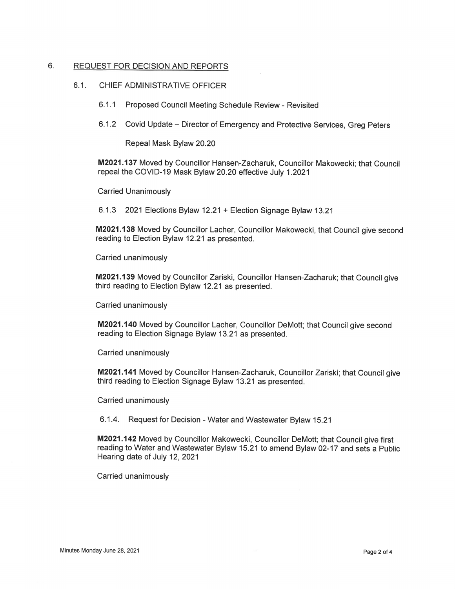### 6. REQUEST FOR DECISION AND REPORTS

### 6.1. CHIEF ADMINISTRATIVE OFFICER

- 6.1.1 Proposed Council Meeting Schedule Review Revisited
- 6.1.2 Covid Update Director of Emergency and Protective Services, Greg Peters

Repeal Mask Bylaw 20.20

M2021.137 Moved by Councillor Hansen-Zacharuk, Councillor Makowecki; that Council repeal the COVID-19 Mask Bylaw 20.20 effective July 1.2021

Carried Unanimously

6.1.3 2021 Elections Bylaw 12.21 + Election Signage Bylaw 13.21

M2021.138 Moved by Councillor Lacher, Councillor Makowecki, that Council give second reading to Election Bylaw 12.21 as presented.

Carried unanimously

M2021.139 Moved by Councillor Zariski, Councillor Hansen-Zacharuk; that Council give third reading to Election Bylaw 12.21 as presented.

Carried unanimously

M2021.14O Moved by Councillor Lacher, Councillor DeMott; that Council give second reading to Election Signage Bylaw 13.21 as presented.

Carried unanimously

M2021.141 Moved by Councillor Hansen-Zacharuk, Councillor Zariski; that Council give third reading to Election Signage Bylaw 13.21 as presented.

Carried unanimously

6.1.4. Request for Decision - Water and Wastewater Bylaw 15.21

M2021.142 Moved by Councillor Makowecki, Councillor DeMott; that Council give first reading to Water and Wastewater Bylaw 15.21 to amend Bylaw 02-17 and sets a Public Hearing date of July 12, 2021

Carried unanimously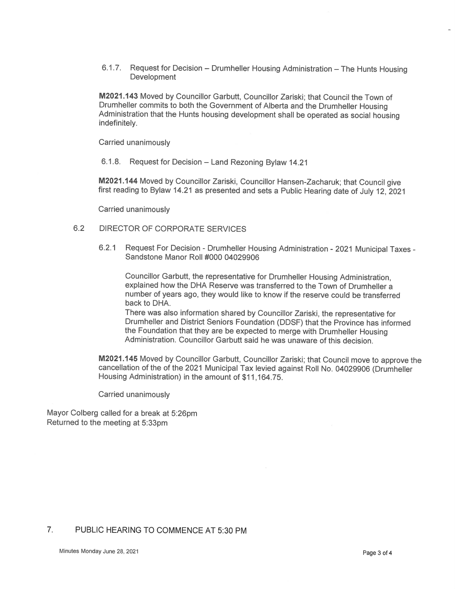6.1.7. Request for Decision — Drumheller Housing Administration — The Hunts Housing **Development** 

M2021.143 Moved by Councillor Garbutt, Councillor Zariski; that Council the Town of Drumheller commits to both the Government of Alberta and the Drumheller Housing Administration that the Hunts housing development shall be operated as social housing indefinitely.

Carried unanimously

6.1.8. Request for Decision — Land Rezoning Bylaw 14.21

M2021.144 Moved by Councillor Zariski, Councillor Hansen-Zacharuk; that Council give first reading to Bylaw 14.21 as presented and sets a Public Hearing date of July 12, 2021

Carried unanimously

#### 6.2 DIRECTOR OF CORPORATE SERVICES

6.2.1 Request For Decision — Drumheller Housing Administration <sup>2021</sup> Municipal Taxes - Sandstone Manor Roll #000 <sup>04029906</sup>

Councillor Garbutt, the representative for Drumheller Housing Administration, explained how the DHA Reserve was transferred to the Town of Drumheller a number of years ago, they would like to know if the reserve could be transferred back to DHA.

There was also information shared by Councillor Zariski, the representative for Drumheller and District Seniors Foundation (DDSF) that the Province has informed the Foundation that they are be expected to merge with Drumheller Housing Administration. Councillor Garbutt said he was unaware of this decision.

M2021.145 Moved by Councillor Garbutt, Councillor Zariski; that Council move to approve the cancellation of the of the 2021 Municipal Tax levied against Roll No. 04029906 (Drumheller Housing Administration) in the amount of \$11,164.75.

Carried unanimously

Mayor Colberg called for a break at 5:26pm Returned to the meeting at 5:33pm

## 7. PUBLIC HEARINGTO COMMENCE AT 5:30 PM